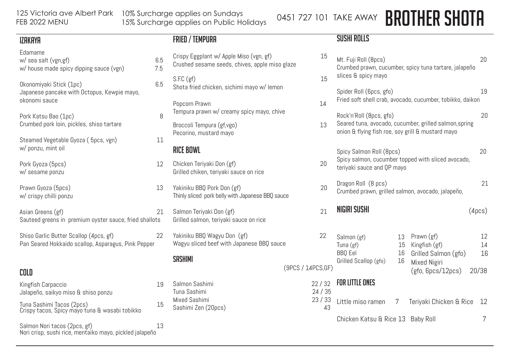125 Victoria ave Albert Park 10% Surcharge applies on Sundays 15% Surcharge applies on Public Holidays 0451 727 101 TAKE AWAY **BROTHER SHOTA** 

#### IZAKAYA

| ILNNIN                                                                                        |            |
|-----------------------------------------------------------------------------------------------|------------|
| Edamame<br>w/ sea salt (vgn,gf)<br>w/ house made spicy dipping sauce (vgn)                    | 6.5<br>7.5 |
| Okonomiyaki Stick (1pc)<br>Japanese pancake with Octopus, Kewpie mayo,<br>okonomi sauce       | 6.5        |
| Pork Katsu Bao (1pc)<br>Crumbed pork loin, pickles, shiso tartare                             | 8          |
| Steamed Vegetable Gyoza (5pcs, vgn)<br>w/ ponzu, mint oil                                     | 11         |
| Pork Gyoza (5pcs)<br>w/ sesame ponzu                                                          | 12         |
| Prawn Gyoza (5pcs)<br>w/ crispy chilli ponzu                                                  | 13         |
| Asian Greens (gf)<br>Sauteed greens in premium oyster sauce, fried shallots                   | 21         |
| Shiso Garlic Butter Scallop (4pcs, gf)<br>Pan Seared Hokkaido scallop, Asparagus, Pink Pepper | 22         |
|                                                                                               |            |
| COLD                                                                                          |            |
| Kingfish Carpaccio<br>Jalapeño, saikyo miso & shiso ponzu                                     | 19         |

Tuna Sashimi Tacos (2pcs) 15 Crispy tacos, Spicy mayo tuna & wasabi tobikko

Salmon Nori tacos (2pcs, gf) 13 Nori crisp, sushi rice, mentaiko mayo, pickled jalapeño

## FRIED / TEMPURA

- Crispy Eggplant w/ Apple Miso (vgn, gf) Crushed sesame seeds, chives, apple miso glaze  $S.F.C (gf)$ Shota fried chicken, sichimi mayo w/ lemon Popcorn Prawn 14 Tempura prawn w/ creamy spicy mayo, chive Broccoli Tempura (gf,vgo) 13 Pecorino, mustard mayo RICE BOWL Chicken Teriyaki Don (gf) Grilled chiken, teriyaki sauce on rice Yakiniku BBQ Pork Don (gf) Thinly sliced pork belly with Japanese BBQ sauce Salmon Teriyaki Don (gf) Grilled salmon, teriyaki sauce on rice Yakiniku BBO Wagyu Don (gf) Wagyu sliced beef with Japanese BBQ sauce **SASHIMI** Grilled Scallop (gfo) 16  $(9PCS / 14PC)$ Salmon Sashimi 22 / 32
- Tuna Sashimi 24 Mixed Sashimi 23 Sashimi Zen (20pcs) 43

### SUSHI ROLLS

 $\overline{a}$ 

| 15                 | 20<br>Mt. Fuji Roll (8pcs)<br>Crumbed prawn, cucumber, spicy tuna tartare, jalapeño<br>slices & spicy mayo                             |                      |                                                                                                 |                         |  |  |  |
|--------------------|----------------------------------------------------------------------------------------------------------------------------------------|----------------------|-------------------------------------------------------------------------------------------------|-------------------------|--|--|--|
| 15<br>14           | 19<br>Spider Roll (6pcs, gfo)<br>Fried soft shell crab, avocado, cucumber, tobikko, daikon                                             |                      |                                                                                                 |                         |  |  |  |
| 13                 | Rock'n'Roll (8pcs, gfo)<br>Seared tuna, avocado, cucumber, grilled salmon, spring<br>onion & flying fish roe, soy grill & mustard mayo |                      |                                                                                                 |                         |  |  |  |
| 20                 | 20<br>Spicy Salmon Roll (8pcs)<br>Spicy salmon, cucumber topped with sliced avocado,<br>teriyaki sauce and QP mayo                     |                      |                                                                                                 |                         |  |  |  |
| 20                 | Dragon Roll (8 pcs)<br>Crumbed prawn, grilled salmon, avocado, jalapeño,                                                               |                      |                                                                                                 |                         |  |  |  |
| 21                 | NIGIRI SUSHI<br>(4 <sub>DCS</sub> )                                                                                                    |                      |                                                                                                 |                         |  |  |  |
| 22<br>SS, GF)      | Salmon (gf)<br>Tuna (gf)<br><b>BBQ</b> Eel<br>Grilled Scallop (gfo)                                                                    | 13<br>15<br>16<br>16 | Prawn (gf)<br>Kingfish (gf)<br>Grilled Salmon (gfo)<br><b>Mixed Nigiri</b><br>(gfo, 6pcs/12pcs) | 12<br>14<br>16<br>20/38 |  |  |  |
| /32                | <b>FOR LITTLE ONES</b>                                                                                                                 |                      |                                                                                                 |                         |  |  |  |
| 1/35<br>3/33<br>43 | Little miso ramen                                                                                                                      | 7                    | Teriyaki Chicken & Rice                                                                         | 12                      |  |  |  |
|                    | Chicken Katsu & Rice 13                                                                                                                | Baby Roll            |                                                                                                 |                         |  |  |  |